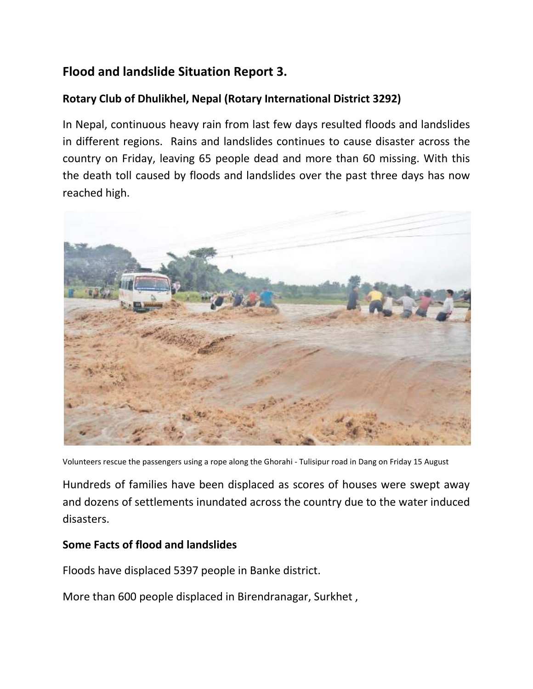## **Flood and landslide Situation Report 3.**

## **Rotary Club of Dhulikhel, Nepal (Rotary International District 3292)**

In Nepal, continuous heavy rain from last few days resulted floods and landslides in different regions. Rains and landslides continues to cause disaster across the country on Friday, leaving 65 people dead and more than 60 missing. With this the death toll caused by floods and landslides over the past three days has now reached high.



Volunteers rescue the passengers using a rope along the Ghorahi - Tulisipur road in Dang on Friday 15 August

Hundreds of families have been displaced as scores of houses were swept away and dozens of settlements inundated across the country due to the water induced disasters.

## **Some Facts of flood and landslides**

Floods have displaced 5397 people in Banke district.

More than 600 people displaced in Birendranagar, Surkhet ,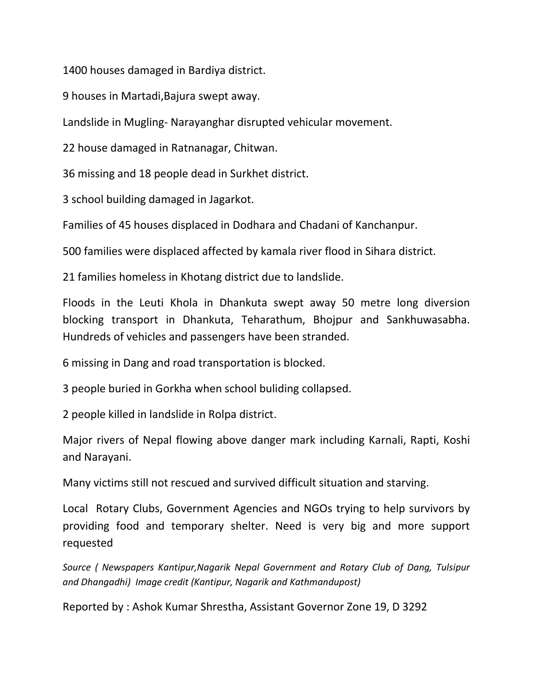1400 houses damaged in Bardiya district.

9 houses in Martadi,Bajura swept away.

Landslide in Mugling- Narayanghar disrupted vehicular movement.

22 house damaged in Ratnanagar, Chitwan.

36 missing and 18 people dead in Surkhet district.

3 school building damaged in Jagarkot.

Families of 45 houses displaced in Dodhara and Chadani of Kanchanpur.

500 families were displaced affected by kamala river flood in Sihara district.

21 families homeless in Khotang district due to landslide.

Floods in the Leuti Khola in Dhankuta swept away 50 metre long diversion blocking transport in Dhankuta, Teharathum, Bhojpur and Sankhuwasabha. Hundreds of vehicles and passengers have been stranded.

6 missing in Dang and road transportation is blocked.

3 people buried in Gorkha when school buliding collapsed.

2 people killed in landslide in Rolpa district.

Major rivers of Nepal flowing above danger mark including Karnali, Rapti, Koshi and Narayani.

Many victims still not rescued and survived difficult situation and starving.

Local Rotary Clubs, Government Agencies and NGOs trying to help survivors by providing food and temporary shelter. Need is very big and more support requested

*Source ( Newspapers Kantipur,Nagarik Nepal Government and Rotary Club of Dang, Tulsipur and Dhangadhi) Image credit (Kantipur, Nagarik and Kathmandupost)*

Reported by : Ashok Kumar Shrestha, Assistant Governor Zone 19, D 3292